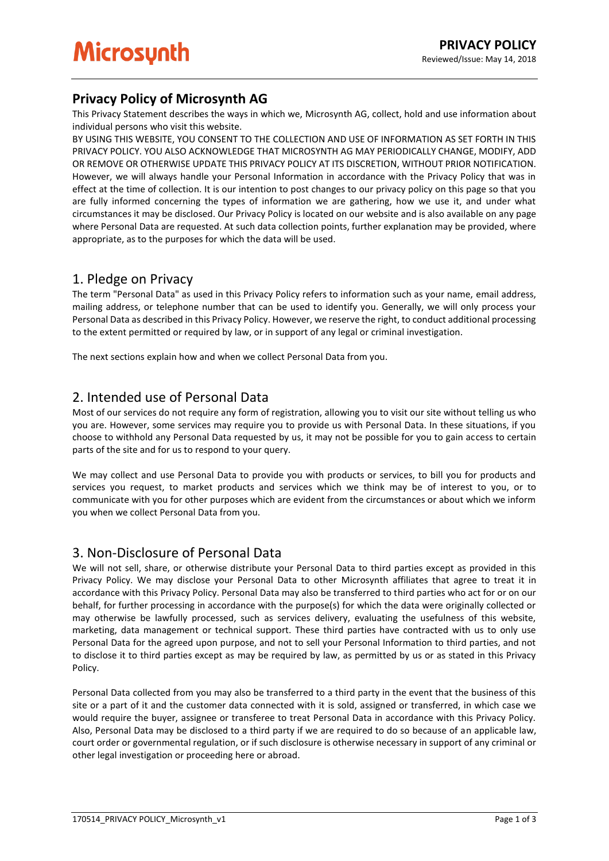# **Privacy Policy of Microsynth AG**

This Privacy Statement describes the ways in which we, Microsynth AG, collect, hold and use information about individual persons who visit this website.

BY USING THIS WEBSITE, YOU CONSENT TO THE COLLECTION AND USE OF INFORMATION AS SET FORTH IN THIS PRIVACY POLICY. YOU ALSO ACKNOWLEDGE THAT MICROSYNTH AG MAY PERIODICALLY CHANGE, MODIFY, ADD OR REMOVE OR OTHERWISE UPDATE THIS PRIVACY POLICY AT ITS DISCRETION, WITHOUT PRIOR NOTIFICATION. However, we will always handle your Personal Information in accordance with the Privacy Policy that was in effect at the time of collection. It is our intention to post changes to our privacy policy on this page so that you are fully informed concerning the types of information we are gathering, how we use it, and under what circumstances it may be disclosed. Our Privacy Policy is located on our website and is also available on any page where Personal Data are requested. At such data collection points, further explanation may be provided, where appropriate, as to the purposes for which the data will be used.

# 1. Pledge on Privacy

The term "Personal Data" as used in this Privacy Policy refers to information such as your name, email address, mailing address, or telephone number that can be used to identify you. Generally, we will only process your Personal Data as described in this Privacy Policy. However, we reserve the right, to conduct additional processing to the extent permitted or required by law, or in support of any legal or criminal investigation.

The next sections explain how and when we collect Personal Data from you.

# 2. Intended use of Personal Data

Most of our services do not require any form of registration, allowing you to visit our site without telling us who you are. However, some services may require you to provide us with Personal Data. In these situations, if you choose to withhold any Personal Data requested by us, it may not be possible for you to gain access to certain parts of the site and for us to respond to your query.

We may collect and use Personal Data to provide you with products or services, to bill you for products and services you request, to market products and services which we think may be of interest to you, or to communicate with you for other purposes which are evident from the circumstances or about which we inform you when we collect Personal Data from you.

## 3. Non-Disclosure of Personal Data

We will not sell, share, or otherwise distribute your Personal Data to third parties except as provided in this Privacy Policy. We may disclose your Personal Data to other Microsynth affiliates that agree to treat it in accordance with this Privacy Policy. Personal Data may also be transferred to third parties who act for or on our behalf, for further processing in accordance with the purpose(s) for which the data were originally collected or may otherwise be lawfully processed, such as services delivery, evaluating the usefulness of this website, marketing, data management or technical support. These third parties have contracted with us to only use Personal Data for the agreed upon purpose, and not to sell your Personal Information to third parties, and not to disclose it to third parties except as may be required by law, as permitted by us or as stated in this Privacy Policy.

Personal Data collected from you may also be transferred to a third party in the event that the business of this site or a part of it and the customer data connected with it is sold, assigned or transferred, in which case we would require the buyer, assignee or transferee to treat Personal Data in accordance with this Privacy Policy. Also, Personal Data may be disclosed to a third party if we are required to do so because of an applicable law, court order or governmental regulation, or if such disclosure is otherwise necessary in support of any criminal or other legal investigation or proceeding here or abroad.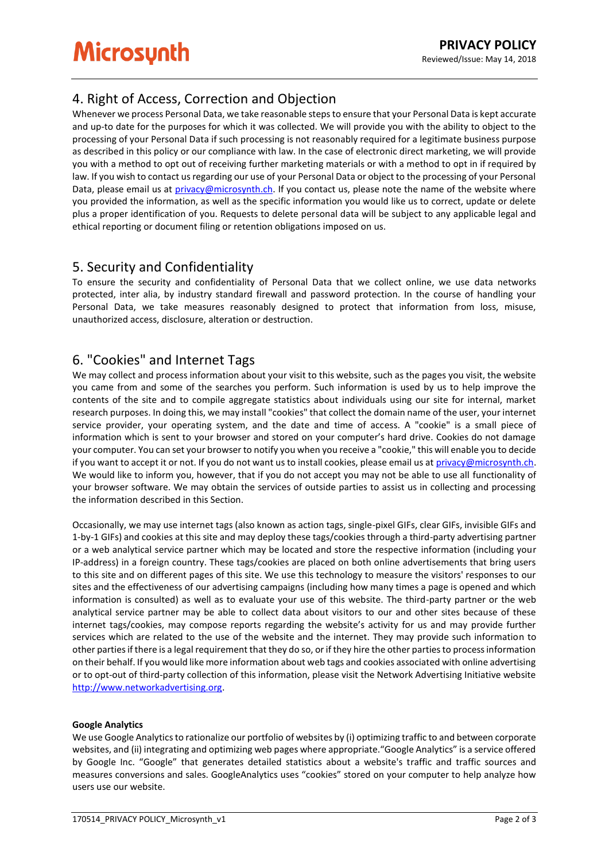# 4. Right of Access, Correction and Objection

Whenever we process Personal Data, we take reasonable steps to ensure that your Personal Data is kept accurate and up-to date for the purposes for which it was collected. We will provide you with the ability to object to the processing of your Personal Data if such processing is not reasonably required for a legitimate business purpose as described in this policy or our compliance with law. In the case of electronic direct marketing, we will provide you with a method to opt out of receiving further marketing materials or with a method to opt in if required by law. If you wish to contact us regarding our use of your Personal Data or object to the processing of your Personal Data, please email us at [privacy@microsynth.ch.](mailto:privacy@microsynth.ch) If you contact us, please note the name of the website where you provided the information, as well as the specific information you would like us to correct, update or delete plus a proper identification of you. Requests to delete personal data will be subject to any applicable legal and ethical reporting or document filing or retention obligations imposed on us.

# 5. Security and Confidentiality

To ensure the security and confidentiality of Personal Data that we collect online, we use data networks protected, inter alia, by industry standard firewall and password protection. In the course of handling your Personal Data, we take measures reasonably designed to protect that information from loss, misuse, unauthorized access, disclosure, alteration or destruction.

# 6. "Cookies" and Internet Tags

We may collect and process information about your visit to this website, such as the pages you visit, the website you came from and some of the searches you perform. Such information is used by us to help improve the contents of the site and to compile aggregate statistics about individuals using our site for internal, market research purposes. In doing this, we may install "cookies" that collect the domain name of the user, your internet service provider, your operating system, and the date and time of access. A "cookie" is a small piece of information which is sent to your browser and stored on your computer's hard drive. Cookies do not damage your computer. You can set your browser to notify you when you receive a "cookie," this will enable you to decide if you want to accept it or not. If you do not want us to install cookies, please email us a[t privacy@microsynth.ch.](mailto:privacy@microsynth.ch) We would like to inform you, however, that if you do not accept you may not be able to use all functionality of your browser software. We may obtain the services of outside parties to assist us in collecting and processing the information described in this Section.

Occasionally, we may use internet tags (also known as action tags, single-pixel GIFs, clear GIFs, invisible GIFs and 1-by-1 GIFs) and cookies at this site and may deploy these tags/cookies through a third-party advertising partner or a web analytical service partner which may be located and store the respective information (including your IP-address) in a foreign country. These tags/cookies are placed on both online advertisements that bring users to this site and on different pages of this site. We use this technology to measure the visitors' responses to our sites and the effectiveness of our advertising campaigns (including how many times a page is opened and which information is consulted) as well as to evaluate your use of this website. The third-party partner or the web analytical service partner may be able to collect data about visitors to our and other sites because of these internet tags/cookies, may compose reports regarding the website's activity for us and may provide further services which are related to the use of the website and the internet. They may provide such information to other parties if there is a legal requirement that they do so, or if they hire the other parties to process information on their behalf. If you would like more information about web tags and cookies associated with online advertising or to opt-out of third-party collection of this information, please visit the Network Advertising Initiative website [http://www.networkadvertising.org.](http://www.networkadvertising.org/)

#### **Google Analytics**

We use Google Analytics to rationalize our portfolio of websites by (i) optimizing traffic to and between corporate websites, and (ii) integrating and optimizing web pages where appropriate."Google Analytics" is a service offered by Google Inc. "Google" that generates detailed statistics about a website's traffic and traffic sources and measures conversions and sales. GoogleAnalytics uses "cookies" stored on your computer to help analyze how users use our website.